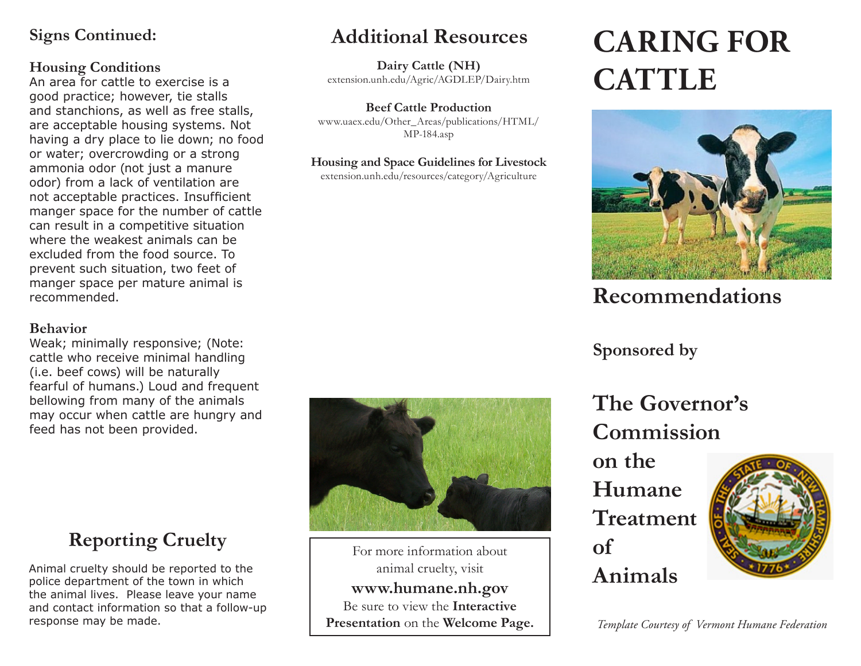## **Signs Continued:**

#### **Housing Conditions**

An area for cattle to exercise is a good practice; however, tie stalls and stanchions, as well as free stalls, are acceptable housing systems. Not having a dry place to lie down; no food or water; overcrowding or a strong ammonia odor (not just a manure odor) from a lack of ventilation are not acceptable practices. Insufficient manger space for the number of cattle can result in a competitive situation where the weakest animals can be excluded from the food source. To prevent such situation, two feet of manger space per mature animal is recommended.

#### **Behavior**

Weak; minimally responsive; (Note: cattle who receive minimal handling (i.e. beef cows) will be naturally fearful of humans.) Loud and frequent bellowing from many of the animals may occur when cattle are hungry and feed has not been provided.

# **Additional Resources**

**CATTLE Dairy Cattle (NH)** extension.unh.edu/Agric/AGDLEP/Dairy.htm

**Beef Cattle Production** www.uaex.edu/Other\_Areas/publications/HTML/ MP-184.asp

#### **Housing and Space Guidelines for Livestock**

extension.unh.edu/resources/category/Agriculture

# **CARING FOR**



# **Recommendations**

## **Sponsored by**

**The Governor's Commission** 

**on the Humane Treatment of Animals**



*Template Courtesy of Vermont Humane Federation* 

# **Reporting Cruelty**

Animal cruelty should be reported to the police department of the town in which the animal lives. Please leave your name and contact information so that a follow-up response may be made.



For more information about animal cruelty, visit **www.humane.nh.gov** Be sure to view the **Interactive Presentation** on the **Welcome Page.**